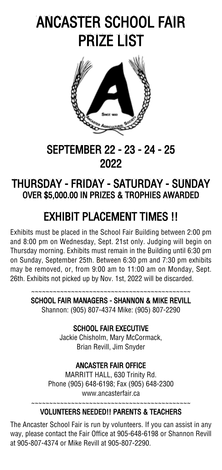# ANCASTER SCHOOL FAIR PRIZE LIST



# SEPTEMBER 22 - 23 - 24 - 25 2022

# THURSDAY - FRIDAY - SATURDAY - SUNDAY OVER \$5,000.00 IN PRIZES & TROPHIES AWARDED

# EXHIBIT PLACEMENT TIMES !!

Exhibits must be placed in the School Fair Building between 2:00 pm and 8:00 pm on Wednesday, Sept. 21st only. Judging will begin on Thursday morning. Exhibits must remain in the Building until 6:30 pm on Sunday, September 25th. Between 6:30 pm and 7:30 pm exhibits may be removed, or, from 9:00 am to 11:00 am on Monday, Sept. 26th. Exhibits not picked up by Nov. 1st, 2022 will be discarded.

> ~~~~~~~~~~~~~~~~~~~~~~~~~~~~~~~~~~~~~~~~~~~~ SCHOOL FAIR MANAGERS - SHANNON & MIKE REVILL

Shannon: (905) 807-4374 Mike: (905) 807-2290

#### SCHOOL FAIR EXECUTIVE

Jackie Chisholm, Mary McCormack, Brian Revill, Jim Snyder

#### ANCASTER FAIR OFFICE

MARRITT HALL, 630 Trinity Rd. Phone (905) 648-6198; Fax (905) 648-2300 www.ancasterfair.ca

#### ~~~~~~~~~~~~~~~~~~~~~~~~~~~~~~~~~~~~~~~~~~~~

#### VOLUNTEERS NEEDED!! PARENTS & TEACHERS

The Ancaster School Fair is run by volunteers. If you can assist in any way, please contact the Fair Office at 905-648-6198 or Shannon Revill at 905-807-4374 or Mike Revill at 905-807-2290.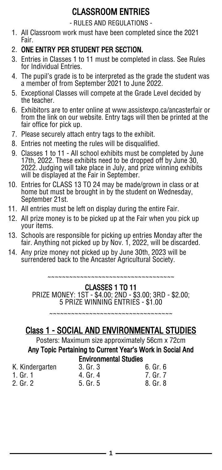## CLASSROOM ENTRIES

- RULES AND REGULATIONS -

1. All Classroom work must have been completed since the 2021 Fair.

#### 2. ONE ENTRY PER STUDENT PER SECTION.

- 3. Entries in Classes 1 to 11 must be completed in class. See Rules for Individual Entries.
- 4. The pupil's grade is to be interpreted as the grade the student was a member of from September 2021 to June 2022.
- 5. Exceptional Classes will compete at the Grade Level decided by the teacher.
- 6. Exhibitors are to enter online at www.assistexpo.ca/ancasterfair or from the link on our website. Entry tags will then be printed at the fair office for pick up.
- 7. Please securely attach entry tags to the exhibit.
- 8. Entries not meeting the rules will be disqualified.
- 9. Classes 1 to 11 All school exhibits must be completed by June 17th, 2022. These exhibits need to be dropped off by June 30, 2022. Judging will take place in July, and prize winning exhibits will be displayed at the Fair in September.
- 10. Entries for CLASS 13 TO 24 may be made/grown in class or at home but must be brought in by the student on Wednesday, September 21st.
- 11. All entries must be left on display during the entire Fair.
- 12. All prize money is to be picked up at the Fair when you pick up your items.
- 13. Schools are responsible for picking up entries Monday after the fair. Anything not picked up by Nov. 1, 2022, will be discarded.
- 14. Any prize money not picked up by June 30th, 2023 will be surrendered back to the Ancaster Agricultural Society.

~~~~~~~~~~~~~~~~~~~~~~~~~~~~~~~~~~

#### CLASSES 1 TO 11

PRIZE MONEY: 1ST - \$4.00; 2ND - \$3.00; 3RD - \$2.00; 5 PRIZE WINNING ENTRIES - \$1.00

~~~~~~~~~~~~~~~~~~~~~~~~~~~~~~~~~~~~

## Class 1 - SOCIAL AND ENVIRONMENTAL STUDIES

Posters: Maximum size approximately 56cm x 72cm

# Any Topic Pertaining to Current Year's Work in Social And

# Environmental Studies

- K. Kindergarten 3. Gr. 3 6. Gr. 6 1. Gr. 1 4. Gr. 4 7. Gr. 7<br>2. Gr. 2 5. Gr. 5 7. Gr. 8. Gr. 8 5. Gr. 5
-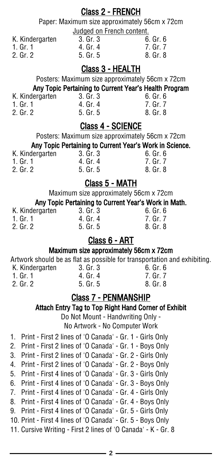#### Class 2 - FRENCH

Paper: Maximum size approximately 56cm x 72cm Judged on French content.

K. Kindergarten 3. Gr. 3 6. Gr. 6

| ٧<br>×<br>۰. |  |
|--------------|--|
|              |  |

- 2. Gr. 2 5. Gr. 5.
- 
- 
- 4. Gr. 4 7. Gr. 7<br>5. Gr. 5 8. Gr. 8

#### Class 3 - HEALTH

Posters: Maximum size approximately 56cm x 72cm

# Any Topic Pertaining to Current Year's Health Program<br>
ergarten
3. Gr. 3
<br>
fo. Gr. 6

K. Kindergarten 3. Gr. 3 6. Gr. 6 1. Gr. 1 4. Gr. 4 7. Gr. 7 5. Gr. 5

#### Class 4 - SCIENCE

Posters: Maximum size approximately 56cm x 72cm

#### Any Topic Pertaining to Current Year's Work in Science.

| K. Kindergarten | 3. Gr. 3 | 6. Gr. 6 |
|-----------------|----------|----------|
| 1. Gr. 1        | 4. Gr. 4 | 7. Gr. 7 |
| 2. Gr. 2        | 5. Gr. 5 | 8. Gr. 8 |

#### Class 5 - MATH

Maximum size approximately 56cm x 72cm

#### Any Topic Pertaining to Current Year's Work in Math.

| K. Kindergarten | 3. Gr. 3     | 6. Gr. 6 |
|-----------------|--------------|----------|
| 1. Gr. 1        | 4. Gr. 4     | 7. Gr. 7 |
| 2. Gr. 2        | $5.$ Gr. $5$ | 8. Gr. 8 |

#### Class 6 - ART

#### Maximum size approximately 56cm x 72cm

Artwork should be as flat as possible for transportation and exhibiting.

| K. Kindergarten | 3. Gr. 3 | 6. Gr. 6 |
|-----------------|----------|----------|
| 1. Gr. 1        | 4. Gr. 4 | 7. Gr. 7 |
| $2.$ Gr. $21$   | 5. Gr. 5 | 8. Gr. 8 |
|                 |          |          |

### Class 7 - PENMANSHIP

#### Attach Entry Tag to Top Right Hand Corner of Exhibit

Do Not Mount - Handwriting Only -

No Artwork - No Computer Work

- 1. Print First 2 lines of 'O Canada' Gr. 1 Girls Only
- 2. Print First 2 lines of 'O Canada' Gr. 1 Boys Only
- 3. Print First 2 lines of 'O Canada' Gr. 2 Girls Only
- 4. Print First 2 lines of 'O Canada' Gr. 2 Boys Only
- 5. Print First 4 lines of 'O Canada' Gr. 3 Girls Only
- 6. Print First 4 lines of 'O Canada' Gr. 3 Boys Only 7. Print - First 4 lines of 'O Canada' - Gr. 4 - Girls Only
- 8. Print First 4 lines of 'O Canada' Gr. 4 Boys Only
- 9. Print First 4 lines of 'O Canada' Gr. 5 Girls Only
- 10. Print First 4 lines of 'O Canada' Gr. 5 Boys Only
- 11. Cursive Writing First 2 lines of 'O Canada' K Gr. 8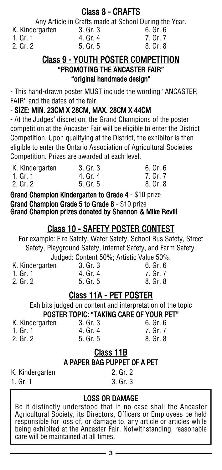#### Class 8 - CRAFTS

Any Article in Crafts made at School During the Year.

| K. Kindergarten | 3. Gr. 3 | 6. Gr. 6 |
|-----------------|----------|----------|
| 1. Gr. 1        | 4. Gr. 4 | 7. Gr. 7 |
| 2. Gr. 2        | 5. Gr. 5 | 8. Gr. 8 |

#### Class 9 - YOUTH POSTER COMPETITION "PROMOTING THE ANCASTER FAIR" "original handmade design"

- This hand-drawn poster MUST include the wording "ANCASTER FAIR" and the dates of the fair.

#### - SIZE: MIN. 23CM X 28CM, MAX. 28CM X 44CM

- At the Judges' discretion, the Grand Champions of the poster competition at the Ancaster Fair will be eligible to enter the District Competition. Upon qualifying at the District, the exhibitor is then eligible to enter the Ontario Association of Agricultural Societies Competition. Prizes are awarded at each level.

| K. Kindergarten | 3. Gr. 3 | 6. Gr. 6 |
|-----------------|----------|----------|
| 1. Gr. 1        | 4. Gr. 4 | 7. Gr. 7 |
| 2. Gr. 2        | 5. Gr. 5 | 8. Gr. 8 |

Grand Champion Kindergarten to Grade 4 - \$10 prize Grand Champion Grade 5 to Grade 8 - \$10 prize Grand Champion prizes donated by Shannon & Mike Revill

# Class 10 - SAFETY POSTER CONTEST

For example: Fire Safety, Water Safety, School Bus Safety, Street Safety, Playground Safety, Internet Safety, and Farm Safety. Judged: Content 50%; Artistic Value 50%.

|                 | 000000: 00:::0::: 00 /0; / :: ::0::0 / : 0::00 00 /0 |          |
|-----------------|------------------------------------------------------|----------|
| K. Kindergarten | 3. Gr. 3                                             | 6. Gr. 6 |
| 1. Gr. 1        | 4. Gr. 4                                             | 7. Gr. 7 |
| 2. Gr. 2        | $5.$ Gr. $5$                                         | 8. Gr. 8 |
|                 |                                                      |          |

## Class 11A - PET POSTER

Exhibits judged on content and interpretation of the topic POSTER TOPIC: "TAKING CARE OF YOUR PET" K. Kindergarten 3. Gr. 3 6. Gr. 6

| K. Kindergarten |  |
|-----------------|--|
| 1. Gr. 1        |  |
| 2. Gr. 2        |  |

|          | Class 11B |          |
|----------|-----------|----------|
| 2. Gr. 2 | 5. Gr. 5  | 8. Gr. 8 |
| 1. Gr. 1 | 4. Gr. 4  | 7. Gr. 7 |

#### A PAPER BAG PUPPET OF A PET

K. Kindergarten 1. Gr. 1

2. Gr. 2 3. Gr. 3

#### LOSS OR DAMAGE

Be it distinctly understood that in no case shall the Ancaster Agricultural Society, its Directors, Officers or Employees be held responsible for loss of, or damage to, any article or articles while being exhibited at the Ancaster Fair. Notwithstanding, reasonable care will be maintained at all times.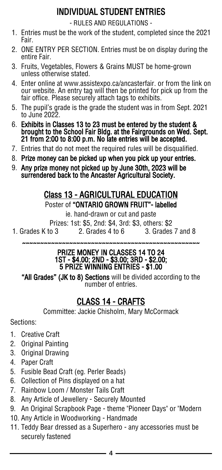# INDIVIDUAL STUDENT ENTRIES

- RULES AND REGULATIONS -

- 1. Entries must be the work of the student, completed since the 2021 Fair.
- 2. ONE ENTRY PER SECTION. Entries must be on display during the entire Fair.
- 3. Fruits, Vegetables, Flowers & Grains MUST be home-grown unless otherwise stated.
- 4. Enter online at www.assistexpo.ca/ancasterfair. or from the link on our website. An entry tag will then be printed for pick up from the fair office. Please securely attach tags to exhibits.
- 5. The pupil's grade is the grade the student was in from Sept. 2021 to June 2022.
- 6. Exhibits in Classes 13 to 23 must be entered by the student & brought to the School Fair Bldg. at the Fairgrounds on Wed. Sept. 21 from 2:00 to 8:00 p.m. No late entries will be accepted.
- 7. Entries that do not meet the required rules will be disqualified.
- 8. Prize money can be picked up when you pick up your entries.
- 9. Any prize money not picked up by June 30th, 2023 will be surrendered back to the Ancaster Agricultural Society.

#### Class 13 - AGRICULTURAL EDUCATION Poster of "ONTARIO GROWN FRUIT"- labelled

ie. hand-drawn or cut and paste

Prizes: 1st: \$5, 2nd: \$4, 3rd: \$3, others: \$2 1. Grades K to 3 2. Grades 4 to 6 3. Grades 7 and 8

~~~~~~~~~~~~~~~~~~~~~~~~~~~~~~~~~~~~~~~~~~~~~~~~~

#### PRIZE MONEY IN CLASSES 14 TO 24 1ST - \$4.00; 2ND - \$3.00; 3RD - \$2.00; 5 PRIZE WINNING ENTRIES - \$1.00

"All Grades" (JK to 8) Sections will be divided according to the number of entries.

## CLASS 14 - CRAFTS

Committee: Jackie Chisholm, Mary McCormack

Sections:

- 1. Creative Craft
- 2. Original Painting
- 3. Original Drawing
- 4. Paper Craft
- 5. Fusible Bead Craft (eg. Perler Beads)
- 6. Collection of Pins displayed on a hat
- 7. Rainbow Loom / Monster Tails Craft
- 8. Any Article of Jewellery Securely Mounted
- 9. An Original Scrapbook Page theme "Pioneer Days" or "Modern
- 10. Any Article in Woodworking Handmade
- 11. Teddy Bear dressed as a Superhero any accessories must be securely fastened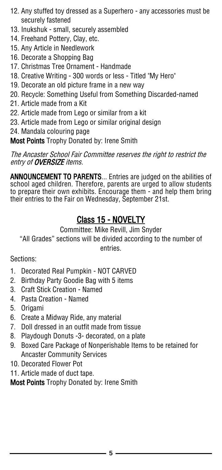- 12. Any stuffed toy dressed as a Superhero any accessories must be securely fastened
- 13. Inukshuk small, securely assembled
- 14. Freehand Pottery, Clay, etc.
- 15. Any Article in Needlework
- 16. Decorate a Shopping Bag
- 17. Christmas Tree Ornament Handmade
- 18. Creative Writing 300 words or less Titled "My Hero"
- 19. Decorate an old picture frame in a new way
- 20. Recycle: Something Useful from Something Discarded-named
- 21. Article made from a Kit
- 22. Article made from Lego or similar from a kit
- 23. Article made from Lego or similar original design
- 24. Mandala colouring page

**Most Points** Trophy Donated by: Irene Smith

The Ancaster School Fair Committee reserves the right to restrict the entry of **OVERSIZE** items.

ANNOUNCEMENT TO PARENTS... Entries are judged on the abilities of school aged children. Therefore, parents are urged to allow students to prepare their own exhibits. Encourage them - and help them bring their entries to the Fair on Wednesday, September 21st.

## Class 15 - NOVELTY

Committee: Mike Revill, Jim Snyder

"All Grades" sections will be divided according to the number of entries.

Sections:

- 1. Decorated Real Pumpkin NOT CARVED
- 2. Birthday Party Goodie Bag with 5 items
- 3. Craft Stick Creation Named
- 4. Pasta Creation Named
- 5. Origami
- 6. Create a Midway Ride, any material
- 7. Doll dressed in an outfit made from tissue
- 8. Playdough Donuts -3- decorated, on a plate
- 9. Boxed Care Package of Nonperishable Items to be retained for Ancaster Community Services
- 10. Decorated Flower Pot
- 11. Article made of duct tape.

**Most Points** Trophy Donated by: Irene Smith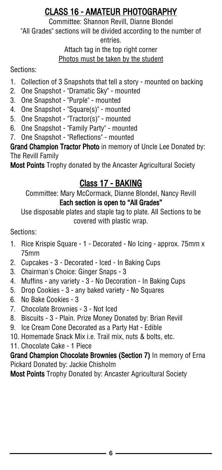# CLASS 16 - AMATEUR PHOTOGRAPHY

Committee: Shannon Revill, Dianne Blondel "All Grades" sections will be divided according to the number of entries.

#### Attach tag in the top right corner Photos must be taken by the student

#### Sections:

- 1. Collection of 3 Snapshots that tell a story mounted on backing
- 2. One Snapshot "Dramatic Sky" mounted
- 3. One Snapshot "Purple" mounted
- 4. One Snapshot "Square(s)" mounted
- 5. One Snapshot "Tractor(s)" mounted
- 6. One Snapshot "Family Party" mounted
- 7. One Snapshot "Reflections" mounted

Grand Champion Tractor Photo in memory of Uncle Lee Donated by: The Revill Family

Most Points Trophy donated by the Ancaster Agricultural Society

### Class 17 - BAKING

Committee: Mary McCormack, Dianne Blondel, Nancy Revill Each section is open to "All Grades"

Use disposable plates and staple tag to plate. All Sections to be covered with plastic wrap.

Sections:

- 1. Rice Krispie Square 1 Decorated No Icing approx. 75mm x 75mm
- 2. Cupcakes 3 Decorated Iced In Baking Cups
- 3. Chairman's Choice: Ginger Snaps 3
- 4. Muffins any variety 3 No Decoration In Baking Cups
- 5. Drop Cookies 3 any baked variety No Squares
- 6. No Bake Cookies 3
- 7. Chocolate Brownies 3 Not Iced
- 8. Biscuits 3 Plain. Prize Money Donated by: Brian Revill
- 9. Ice Cream Cone Decorated as a Party Hat Edible
- 10. Homemade Snack Mix i.e. Trail mix, nuts & bolts, etc.
- 11. Chocolate Cake 1 Piece

#### Grand Champion Chocolate Brownies (Section 7) In memory of Erna Pickard Donated by: Jackie Chisholm

Most Points Trophy Donated by: Ancaster Agricultural Society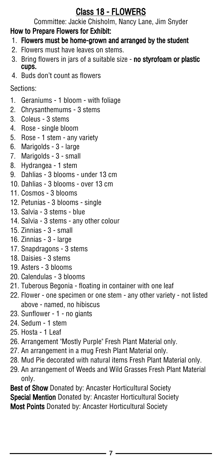## Class 18 - FLOWERS

Committee: Jackie Chisholm, Nancy Lane, Jim Snyder

### How to Prepare Flowers for Exhibit:

- 1. Flowers must be home-grown and arranged by the student
- 2. Flowers must have leaves on stems.
- 3. Bring flowers in jars of a suitable size no styrofoam or plastic cups.
- 4. Buds don't count as flowers

Sections:

- 1. Geraniums 1 bloom with foliage
- 2. Chrysanthemums 3 stems
- 3. Coleus 3 stems
- 4. Rose single bloom
- 5. Rose 1 stem any variety
- 6. Marigolds 3 large
- 7. Marigolds 3 small
- 8. Hydrangea 1 stem
- 9. Dahlias 3 blooms under 13 cm
- 10. Dahlias 3 blooms over 13 cm
- 11. Cosmos 3 blooms
- 12. Petunias 3 blooms single
- 13. Salvia 3 stems blue
- 14. Salvia 3 stems any other colour
- 15. Zinnias 3 small
- 16. Zinnias 3 large
- 17. Snapdragons 3 stems
- 18. Daisies 3 stems
- 19. Asters 3 blooms
- 20. Calendulas 3 blooms
- 21. Tuberous Begonia floating in container with one leaf
- 22. Flower one specimen or one stem any other variety not listed above - named, no hibiscus
- 23. Sunflower 1 no giants
- 24. Sedum 1 stem
- 25. Hosta 1 Leaf
- 26. Arrangement "Mostly Purple" Fresh Plant Material only.
- 27. An arrangement in a mug Fresh Plant Material only.
- 28. Mud Pie decorated with natural items Fresh Plant Material only.
- 29. An arrangement of Weeds and Wild Grasses Fresh Plant Material only.

Best of Show Donated by: Ancaster Horticultural Society Special Mention Donated by: Ancaster Horticultural Society Most Points Donated by: Ancaster Horticultural Society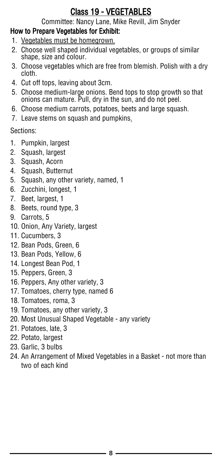## Class 19 - VEGETABLES

Committee: Nancy Lane, Mike Revill, Jim Snyder

#### How to Prepare Vegetables for Exhibit:

- 1. Vegetables must be homegrown.
- 2. Choose well shaped individual vegetables, or groups of similar shape, size and colour.
- 3. Choose vegetables which are free from blemish. Polish with a dry cloth.
- 4. Cut off tops, leaving about 3cm.
- 5. Choose medium-large onions. Bend tops to stop growth so that onions can mature. Pull, dry in the sun, and do not peel.
- 6. Choose medium carrots, potatoes, beets and large squash.
- 7. Leave stems on squash and pumpkins.

Sections:

- 1. Pumpkin, largest
- 2. Squash, largest
- 3. Squash, Acorn
- 4. Squash, Butternut
- 5. Squash, any other variety, named, 1
- 6. Zucchini, longest, 1
- 7. Beet, largest, 1
- 8. Beets, round type, 3
- 9. Carrots, 5
- 10. Onion, Any Variety, largest
- 11. Cucumbers, 3
- 12. Bean Pods, Green, 6
- 13. Bean Pods, Yellow, 6
- 14. Longest Bean Pod, 1
- 15. Peppers, Green, 3
- 16. Peppers, Any other variety, 3
- 17. Tomatoes, cherry type, named 6
- 18. Tomatoes, roma, 3
- 19. Tomatoes, any other variety, 3
- 20. Most Unusual Shaped Vegetable any variety
- 21. Potatoes, late, 3
- 22. Potato, largest
- 23. Garlic, 3 bulbs
- 24. An Arrangement of Mixed Vegetables in a Basket not more than two of each kind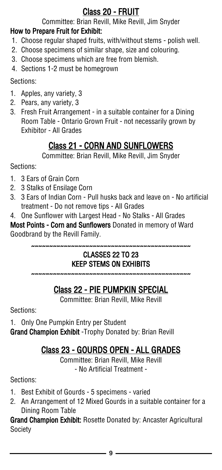# Class 20 - FRUIT

Committee: Brian Revill, Mike Revill, Jim Snyder

#### How to Prepare Fruit for Exhibit:

- 1. Choose regular shaped fruits, with/without stems polish well.
- 2. Choose specimens of similar shape, size and colouring.
- 3. Choose specimens which are free from blemish.
- 4. Sections 1-2 must be homegrown

Sections:

- 1. Apples, any variety, 3
- 2. Pears, any variety, 3
- 3. Fresh Fruit Arrangement in a suitable container for a Dining Room Table - Ontario Grown Fruit - not necessarily grown by Exhibitor - All Grades

# Class 21 - CORN AND SUNFLOWERS

Committee: Brian Revill, Mike Revill, Jim Snyder

Sections:

- 1. 3 Ears of Grain Corn
- 2. 3 Stalks of Ensilage Corn
- 3. 3 Ears of Indian Corn Pull husks back and leave on No artificial treatment - Do not remove tips - All Grades
- 4. One Sunflower with Largest Head No Stalks All Grades

Most Points - Corn and Sunflowers Donated in memory of Ward Goodbrand by the Revill Family.

~~~~~~~~~~~~~~~~~~~~~~~~~~~~~~~~~~~~~~~~~~~~

#### CLASSES 22 TO 23 KEEP STEMS ON EXHIBITS

~~~~~~~~~~~~~~~~~~~~~~~~~~~~~~~~~~~~~~~~~~~~

# Class 22 - PIE PUMPKIN SPECIAL

Committee: Brian Revill, Mike Revill

Sections:

1. Only One Pumpkin Entry per Student

Grand Champion Exhibit - Trophy Donated by: Brian Revill

# Class 23 - GOURDS OPEN - ALL GRADES

Committee: Brian Revill, Mike Revill - No Artificial Treatment -

Sections:

- 1. Best Exhibit of Gourds 5 specimens varied
- 2. An Arrangement of 12 Mixed Gourds in a suitable container for a Dining Room Table

Grand Champion Exhibit: Rosette Donated by: Ancaster Agricultural Society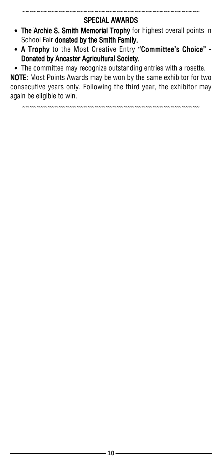~~~~~~~~~~~~~~~~~~~~~~~~~~~~~~~~~~~~~~~~~~~~~~~~~

- The Archie S. Smith Memorial Trophy for highest overall points in School Fair donated by the Smith Family.
- A Trophy to the Most Creative Entry "Committee's Choice" Donated by Ancaster Agricultural Society.

The committee may recognize outstanding entries with a rosette.

NOTE: Most Points Awards may be won by the same exhibitor for two consecutive years only. Following the third year, the exhibitor may again be eligible to win.

~~~~~~~~~~~~~~~~~~~~~~~~~~~~~~~~~~~~~~~~~~~~~~~~~